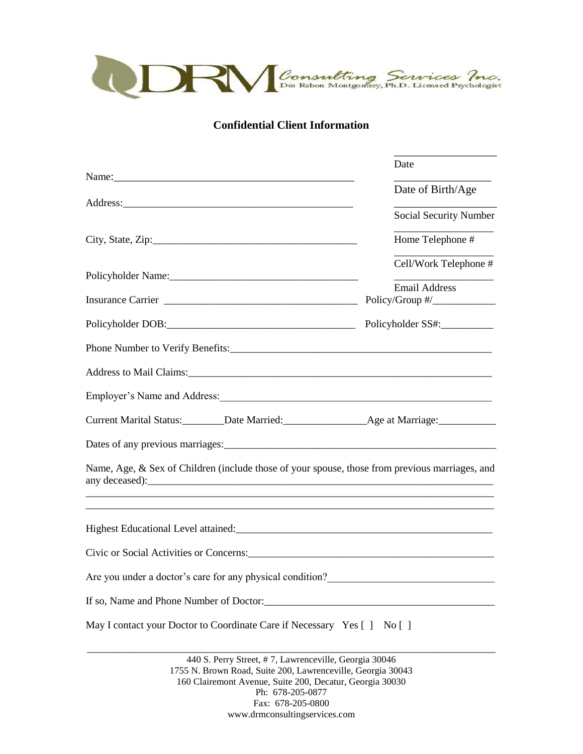

**Confidential Client Information**

|                                                                                                | Date                   |
|------------------------------------------------------------------------------------------------|------------------------|
|                                                                                                |                        |
|                                                                                                | Date of Birth/Age      |
|                                                                                                | Social Security Number |
|                                                                                                | Home Telephone #       |
|                                                                                                | Cell/Work Telephone #  |
|                                                                                                | <b>Email Address</b>   |
| Policyholder SS#:                                                                              |                        |
|                                                                                                |                        |
|                                                                                                |                        |
| Employer's Name and Address:                                                                   |                        |
|                                                                                                |                        |
|                                                                                                |                        |
| Name, Age, & Sex of Children (include those of your spouse, those from previous marriages, and |                        |
|                                                                                                |                        |
| Civic or Social Activities or Concerns: 2008. [2016] Activities or Concerns:                   |                        |
| Are you under a doctor's care for any physical condition?<br><u>Letting</u>                    |                        |
|                                                                                                |                        |
| May I contact your Doctor to Coordinate Care if Necessary Yes [] No []                         |                        |

440 S. Perry Street, # 7, Lawrenceville, Georgia 30046 1755 N. Brown Road, Suite 200, Lawrenceville, Georgia 30043 160 Clairemont Avenue, Suite 200, Decatur, Georgia 30030 Ph: 678-205-0877 Fax: 678-205-0800 www.drmconsultingservices.com

\_\_\_\_\_\_\_\_\_\_\_\_\_\_\_\_\_\_\_\_\_\_\_\_\_\_\_\_\_\_\_\_\_\_\_\_\_\_\_\_\_\_\_\_\_\_\_\_\_\_\_\_\_\_\_\_\_\_\_\_\_\_\_\_\_\_\_\_\_\_\_\_\_\_\_\_\_\_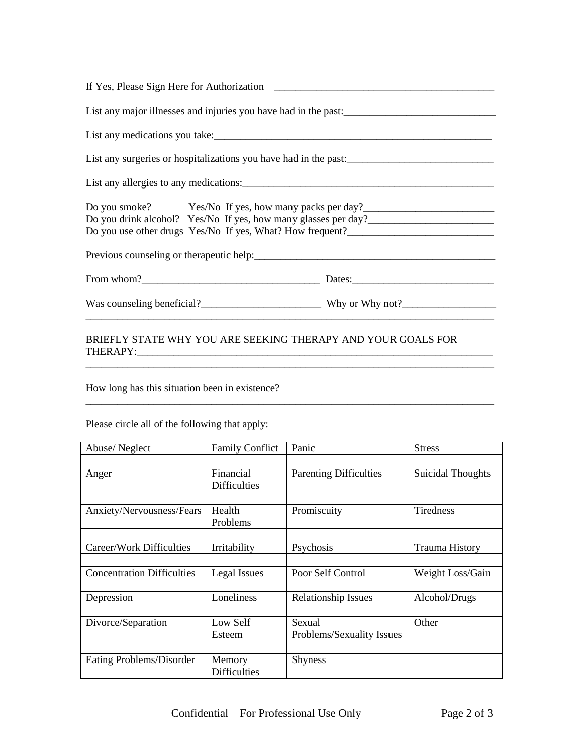| List any major illnesses and injuries you have had in the past:                                                                                                                                                                |  |
|--------------------------------------------------------------------------------------------------------------------------------------------------------------------------------------------------------------------------------|--|
|                                                                                                                                                                                                                                |  |
| List any surgeries or hospitalizations you have had in the past:                                                                                                                                                               |  |
|                                                                                                                                                                                                                                |  |
| Do you smoke? Yes/No If yes, how many packs per day?<br>Do you drink alcohol? Yes/No If yes, how many glasses per day?___________________<br>Do you use other drugs Yes/No If yes, What? How frequent?________________________ |  |
|                                                                                                                                                                                                                                |  |
|                                                                                                                                                                                                                                |  |
|                                                                                                                                                                                                                                |  |
|                                                                                                                                                                                                                                |  |

## BRIEFLY STATE WHY YOU ARE SEEKING THERAPY AND YOUR GOALS FOR THERAPY:\_\_\_\_\_\_\_\_\_\_\_\_\_\_\_\_\_\_\_\_\_\_\_\_\_\_\_\_\_\_\_\_\_\_\_\_\_\_\_\_\_\_\_\_\_\_\_\_\_\_\_\_\_\_\_\_\_\_\_\_\_\_\_\_\_\_\_\_

How long has this situation been in existence?

Please circle all of the following that apply:

| Abuse/Neglect                     | <b>Family Conflict</b> | Panic                         | <b>Stress</b>            |
|-----------------------------------|------------------------|-------------------------------|--------------------------|
|                                   |                        |                               |                          |
| Anger                             | Financial              | <b>Parenting Difficulties</b> | <b>Suicidal Thoughts</b> |
|                                   | <b>Difficulties</b>    |                               |                          |
|                                   |                        |                               |                          |
| Anxiety/Nervousness/Fears         | Health                 | Promiscuity                   | <b>Tiredness</b>         |
|                                   | Problems               |                               |                          |
|                                   |                        |                               |                          |
| Career/Work Difficulties          | Irritability           | Psychosis                     | <b>Trauma History</b>    |
|                                   |                        |                               |                          |
| <b>Concentration Difficulties</b> | Legal Issues           | Poor Self Control             | Weight Loss/Gain         |
|                                   |                        |                               |                          |
| Depression                        | Loneliness             | <b>Relationship Issues</b>    | Alcohol/Drugs            |
|                                   |                        |                               |                          |
| Divorce/Separation                | Low Self               | Sexual                        | Other                    |
|                                   | Esteem                 | Problems/Sexuality Issues     |                          |
|                                   |                        |                               |                          |
| Eating Problems/Disorder          | Memory                 | <b>Shyness</b>                |                          |
|                                   | <b>Difficulties</b>    |                               |                          |